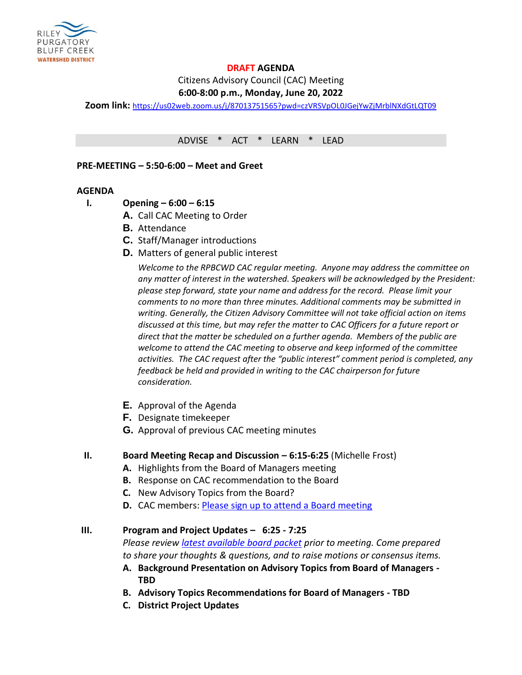

# **DRAFT AGENDA**

Citizens Advisory Council (CAC) Meeting

# **6:00-8:00 p.m., Monday, June 20, 2022**

**Zoom link:** <https://us02web.zoom.us/j/87013751565?pwd=czVRSVpOL0JGejYwZjMrblNXdGtLQT09>

ADVISE \* ACT \* LEARN \* LEAD

**PRE-MEETING – 5:50-6:00 – Meet and Greet** 

#### **AGENDA**

- **I. Opening – 6:00 – 6:15**
	- **A.** Call CAC Meeting to Order
	- **B.** Attendance
	- **C.** Staff/Manager introductions
	- **D.** Matters of general public interest

*Welcome to the RPBCWD CAC regular meeting. Anyone may address the committee on any matter of interest in the watershed. Speakers will be acknowledged by the President: please step forward, state your name and address for the record. Please limit your comments to no more than three minutes. Additional comments may be submitted in writing. Generally, the Citizen Advisory Committee will not take official action on items discussed at this time, but may refer the matter to CAC Officers for a future report or direct that the matter be scheduled on a further agenda. Members of the public are welcome to attend the CAC meeting to observe and keep informed of the committee activities. The CAC request after the "public interest" comment period is completed, any feedback be held and provided in writing to the CAC chairperson for future consideration.*

- **E.** Approval of the Agenda
- **F.** Designate timekeeper
- **G.** Approval of previous CAC meeting minutes

#### **II. Board Meeting Recap and Discussion – 6:15-6:25** (Michelle Frost)

- **A.** Highlights from the Board of Managers meeting
- **B.** Response on CAC recommendation to the Board
- **C.** New Advisory Topics from the Board?
- **D.** CAC members: **Please sign up to attend a Board meeting**

## **III. Program and Project Updates – 6:25 - 7:25**

*Please review [latest available board packet](https://rpbcwd.org/library/board-agendas-packets-minutes) prior to meeting. Come prepared to share your thoughts & questions, and to raise motions or consensus items.*

- **A. Background Presentation on Advisory Topics from Board of Managers - TBD**
- **B. Advisory Topics Recommendations for Board of Managers - TBD**
- **C. District Project Updates**